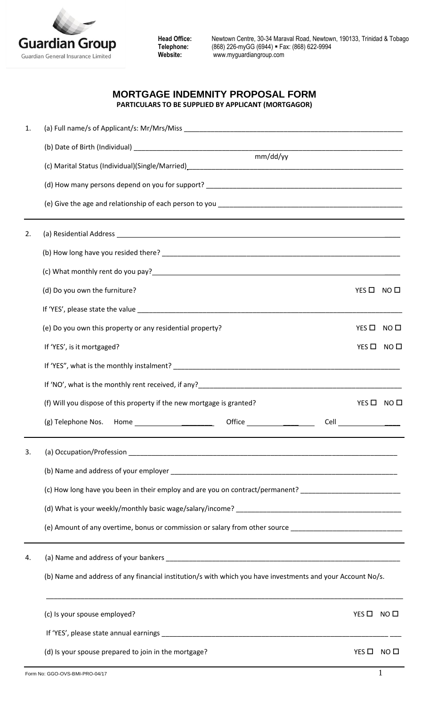

## **MORTGAGE INDEMNITY PROPOSAL FORM PARTICULARS TO BE SUPPLIED BY APPLICANT (MORTGAGOR)**

| 1. |                                                                                                                                                                                                                                |                 |                 |  |  |  |
|----|--------------------------------------------------------------------------------------------------------------------------------------------------------------------------------------------------------------------------------|-----------------|-----------------|--|--|--|
|    |                                                                                                                                                                                                                                |                 |                 |  |  |  |
|    | mm/dd/yy                                                                                                                                                                                                                       |                 |                 |  |  |  |
|    |                                                                                                                                                                                                                                |                 |                 |  |  |  |
|    |                                                                                                                                                                                                                                |                 |                 |  |  |  |
| 2. |                                                                                                                                                                                                                                |                 |                 |  |  |  |
|    |                                                                                                                                                                                                                                |                 |                 |  |  |  |
|    |                                                                                                                                                                                                                                |                 |                 |  |  |  |
|    | (d) Do you own the furniture?                                                                                                                                                                                                  | YES O NO O      |                 |  |  |  |
|    |                                                                                                                                                                                                                                |                 |                 |  |  |  |
|    | (e) Do you own this property or any residential property?                                                                                                                                                                      |                 | YES O NO O      |  |  |  |
|    | If 'YES', is it mortgaged?                                                                                                                                                                                                     | $YES$ $\square$ | NO <sub>1</sub> |  |  |  |
|    |                                                                                                                                                                                                                                |                 |                 |  |  |  |
|    |                                                                                                                                                                                                                                |                 |                 |  |  |  |
|    | (f) Will you dispose of this property if the new mortgage is granted?                                                                                                                                                          | YES $\Box$      | NO <sub>0</sub> |  |  |  |
|    |                                                                                                                                                                                                                                |                 |                 |  |  |  |
| 3. |                                                                                                                                                                                                                                |                 |                 |  |  |  |
|    |                                                                                                                                                                                                                                |                 |                 |  |  |  |
|    | (c) How long have you been in their employ and are you on contract/permanent? ____________________________                                                                                                                     |                 |                 |  |  |  |
|    |                                                                                                                                                                                                                                |                 |                 |  |  |  |
|    | (e) Amount of any overtime, bonus or commission or salary from other source ______________________________                                                                                                                     |                 |                 |  |  |  |
| 4. |                                                                                                                                                                                                                                |                 |                 |  |  |  |
|    | (b) Name and address of any financial institution/s with which you have investments and your Account No/s.                                                                                                                     |                 |                 |  |  |  |
|    | (c) Is your spouse employed?                                                                                                                                                                                                   | YES $\Box$      | NO $\Box$       |  |  |  |
|    | If 'YES', please state annual earnings experience and the state of the state of the state of the state of the state of the state of the state of the state of the state of the state of the state of the state of the state of |                 |                 |  |  |  |
|    | (d) Is your spouse prepared to join in the mortgage?                                                                                                                                                                           | $YES$ $\square$ | NO <sub>1</sub> |  |  |  |
|    | Form No: GGO-OVS-BMI-PRO-04/17                                                                                                                                                                                                 |                 | 1               |  |  |  |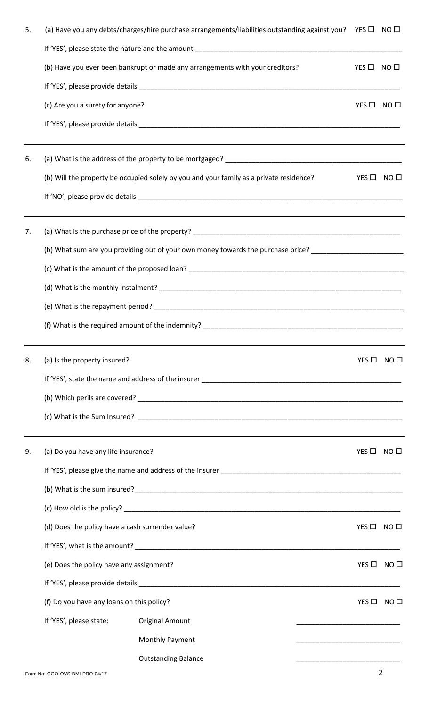| 5. | (a) Have you any debts/charges/hire purchase arrangements/liabilities outstanding against you? YES □ NO □                                                                                                                      |                                                                            |                 |                 |
|----|--------------------------------------------------------------------------------------------------------------------------------------------------------------------------------------------------------------------------------|----------------------------------------------------------------------------|-----------------|-----------------|
|    |                                                                                                                                                                                                                                |                                                                            |                 |                 |
|    | (b) Have you ever been bankrupt or made any arrangements with your creditors?                                                                                                                                                  |                                                                            | YES $\Box$      | NO <sub>0</sub> |
|    |                                                                                                                                                                                                                                |                                                                            |                 |                 |
|    | (c) Are you a surety for anyone?                                                                                                                                                                                               |                                                                            | YES O NO O      |                 |
|    |                                                                                                                                                                                                                                |                                                                            |                 |                 |
| 6. |                                                                                                                                                                                                                                |                                                                            |                 |                 |
|    | (b) Will the property be occupied solely by you and your family as a private residence?                                                                                                                                        |                                                                            | YES $\square$   | NO <sub>0</sub> |
|    |                                                                                                                                                                                                                                |                                                                            |                 |                 |
| 7. |                                                                                                                                                                                                                                |                                                                            |                 |                 |
|    | (b) What sum are you providing out of your own money towards the purchase price? _________________________                                                                                                                     |                                                                            |                 |                 |
|    |                                                                                                                                                                                                                                |                                                                            |                 |                 |
|    |                                                                                                                                                                                                                                |                                                                            |                 |                 |
|    |                                                                                                                                                                                                                                |                                                                            |                 |                 |
|    |                                                                                                                                                                                                                                |                                                                            |                 |                 |
| 8. | (a) Is the property insured?                                                                                                                                                                                                   |                                                                            | YES $\Box$      | NO <sub>0</sub> |
|    |                                                                                                                                                                                                                                |                                                                            |                 |                 |
|    |                                                                                                                                                                                                                                |                                                                            |                 |                 |
|    |                                                                                                                                                                                                                                |                                                                            |                 |                 |
| 9. | (a) Do you have any life insurance?                                                                                                                                                                                            |                                                                            | YES $\square$   | NO <sub>0</sub> |
|    |                                                                                                                                                                                                                                |                                                                            |                 |                 |
|    |                                                                                                                                                                                                                                |                                                                            |                 |                 |
|    |                                                                                                                                                                                                                                |                                                                            |                 |                 |
|    | (d) Does the policy have a cash surrender value?                                                                                                                                                                               |                                                                            | YES $\square$   | NO <sub>1</sub> |
|    |                                                                                                                                                                                                                                |                                                                            |                 |                 |
|    | (e) Does the policy have any assignment?                                                                                                                                                                                       |                                                                            | YES $\Box$      | NO <sub>0</sub> |
|    | If 'YES', please provide details experience of the state of the state of the state of the state of the state of the state of the state of the state of the state of the state of the state of the state of the state of the st |                                                                            |                 |                 |
|    | (f) Do you have any loans on this policy?                                                                                                                                                                                      |                                                                            | $YES$ $\square$ | NO <sub>D</sub> |
|    | If 'YES', please state:<br><b>Original Amount</b>                                                                                                                                                                              | the control of the control of the control of the control of the control of |                 |                 |
|    | <b>Monthly Payment</b>                                                                                                                                                                                                         |                                                                            |                 |                 |
|    | <b>Outstanding Balance</b>                                                                                                                                                                                                     |                                                                            |                 |                 |